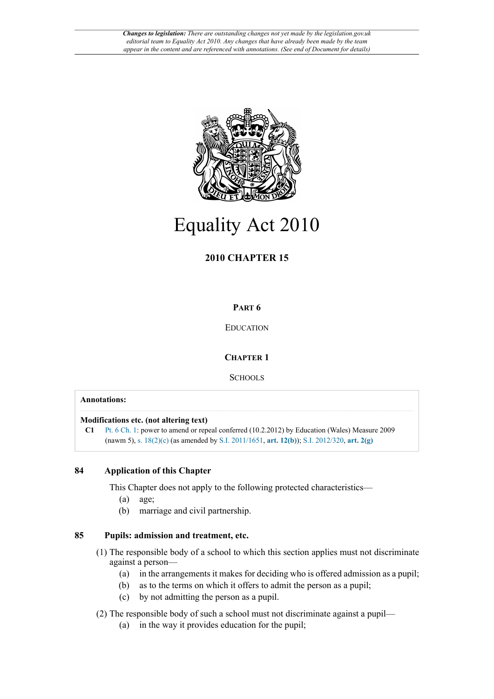

# Equality Act 2010

## **2010 CHAPTER 15**

## **PART 6**

## EDUCATION

## **CHAPTER 1**

**SCHOOLS** 

### **Annotations:**

**Modifications etc. (not altering text)**

**C1** [Pt. 6 Ch. 1:](http://www.legislation.gov.uk/id/ukpga/2010/15/part/6/chapter/1) power to amend or repeal conferred (10.2.2012) by Education (Wales) Measure 2009 (nawm 5), [s. 18\(2\)\(c\)](http://www.legislation.gov.uk/id/ukpga/2010/15/section/18/2/c) (as amended by [S.I. 2011/1651](http://www.legislation.gov.uk/id/uksi/2011/1651), **[art. 12\(b\)](http://www.legislation.gov.uk/id/uksi/2011/1651/article/12/b)**); [S.I. 2012/320](http://www.legislation.gov.uk/id/uksi/2012/320), **[art. 2\(g\)](http://www.legislation.gov.uk/id/uksi/2012/320/article/2/g)**

## **84 Application of this Chapter**

This Chapter does not apply to the following protected characteristics—

- (a) age;
- (b) marriage and civil partnership.

## **85 Pupils: admission and treatment, etc.**

- (1) The responsible body of a school to which this section applies must not discriminate against a person—
	- (a) in the arrangements it makes for deciding who is offered admission as a pupil;
	- (b) as to the terms on which it offers to admit the person as a pupil;
	- (c) by not admitting the person as a pupil.

(2) The responsible body of such a school must not discriminate against a pupil—

(a) in the way it provides education for the pupil;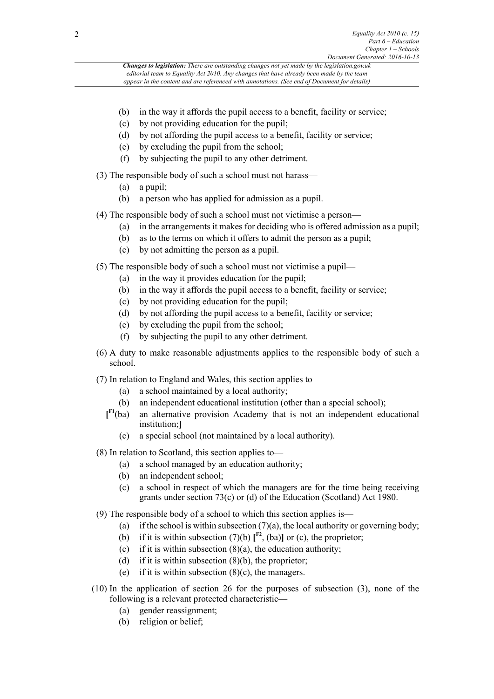- (b) in the way it affords the pupil access to a benefit, facility or service;
- (c) by not providing education for the pupil;
- (d) by not affording the pupil access to a benefit, facility or service;
- (e) by excluding the pupil from the school;
- (f) by subjecting the pupil to any other detriment.
- (3) The responsible body of such a school must not harass—
	- (a) a pupil;
	- (b) a person who has applied for admission as a pupil.
- (4) The responsible body of such a school must not victimise a person—
	- (a) in the arrangements it makes for deciding who is offered admission as a pupil;
	- (b) as to the terms on which it offers to admit the person as a pupil;
	- (c) by not admitting the person as a pupil.
- (5) The responsible body of such a school must not victimise a pupil—
	- (a) in the way it provides education for the pupil;
	- (b) in the way it affords the pupil access to a benefit, facility or service;
	- (c) by not providing education for the pupil;
	- (d) by not affording the pupil access to a benefit, facility or service;
	- (e) by excluding the pupil from the school;
	- (f) by subjecting the pupil to any other detriment.
- (6) A duty to make reasonable adjustments applies to the responsible body of such a school.
- <span id="page-1-0"></span>(7) In relation to England and Wales, this section applies to—
	- (a) a school maintained by a local authority;
	- (b) an independent educational institution (other than a special school);
	- $I<sup>F1</sup>(ba)$ an alternative provision Academy that is not an independent educational institution;**]**
		- (c) a special school (not maintained by a local authority).
- (8) In relation to Scotland, this section applies to—
	- (a) a school managed by an education authority;
	- (b) an independent school;
	- (c) a school in respect of which the managers are for the time being receiving grants under section 73(c) or (d) of the Education (Scotland) Act 1980.
- <span id="page-1-1"></span>(9) The responsible body of a school to which this section applies is—
	- (a) if the school is within subsection  $(7)(a)$ , the local authority or governing body;
	- (b) if it is within subsection (7)(b)  $\mathbf{I}^{\text{F2}}$  $\mathbf{I}^{\text{F2}}$  $\mathbf{I}^{\text{F2}}$ , (ba)] or (c), the proprietor;
	- (c) if it is within subsection  $(8)(a)$ , the education authority;
	- (d) if it is within subsection  $(8)(b)$ , the proprietor;
	- (e) if it is within subsection  $(8)(c)$ , the managers.
- (10) In the application of section 26 for the purposes of subsection (3), none of the following is a relevant protected characteristic—
	- (a) gender reassignment;
	- (b) religion or belief;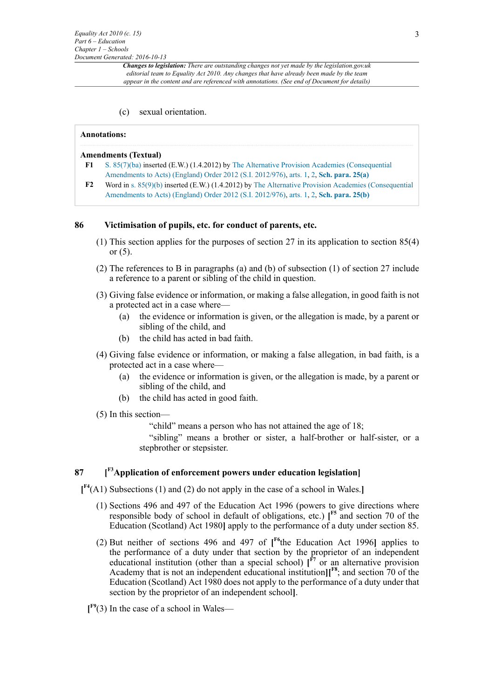(c) sexual orientation.

#### **Annotations:**

#### **Amendments (Textual)**

- <span id="page-2-0"></span>**[F1](#page-1-0)** [S. 85\(7\)\(ba\)](http://www.legislation.gov.uk/id/ukpga/2010/15/section/85/7/ba) inserted (E.W.) (1.4.2012) by [The Alternative Provision Academies \(Consequential](http://www.legislation.gov.uk/id/uksi/2012/976) [Amendments to Acts\) \(England\) Order 2012 \(S.I. 2012/976\)](http://www.legislation.gov.uk/id/uksi/2012/976), [arts. 1,](http://www.legislation.gov.uk/id/uksi/2012/976/article/1) [2,](http://www.legislation.gov.uk/id/uksi/2012/976/article/2) **[Sch. para. 25\(a\)](http://www.legislation.gov.uk/id/uksi/2012/976/schedule/paragraph/25/a)**
- <span id="page-2-1"></span>**[F2](#page-1-1)** Word in [s. 85\(9\)\(b\)](http://www.legislation.gov.uk/id/ukpga/2010/15/section/85/9/b) inserted (E.W.) (1.4.2012) by [The Alternative Provision Academies \(Consequential](http://www.legislation.gov.uk/id/uksi/2012/976) [Amendments to Acts\) \(England\) Order 2012 \(S.I. 2012/976\)](http://www.legislation.gov.uk/id/uksi/2012/976), [arts. 1,](http://www.legislation.gov.uk/id/uksi/2012/976/article/1) [2,](http://www.legislation.gov.uk/id/uksi/2012/976/article/2) **[Sch. para. 25\(b\)](http://www.legislation.gov.uk/id/uksi/2012/976/schedule/paragraph/25/b)**

#### **86 Victimisation of pupils, etc. for conduct of parents, etc.**

- (1) This section applies for the purposes of section 27 in its application to section 85(4) or  $(5)$ .
- (2) The references to B in paragraphs (a) and (b) of subsection (1) of section 27 include a reference to a parent or sibling of the child in question.
- (3) Giving false evidence or information, or making a false allegation, in good faith is not a protected act in a case where—
	- (a) the evidence or information is given, or the allegation is made, by a parent or sibling of the child, and
	- (b) the child has acted in bad faith.
- (4) Giving false evidence or information, or making a false allegation, in bad faith, is a protected act in a case where—
	- (a) the evidence or information is given, or the allegation is made, by a parent or sibling of the child, and
	- (b) the child has acted in good faith.
- (5) In this section—

<span id="page-2-7"></span><span id="page-2-6"></span><span id="page-2-4"></span>"child" means a person who has not attained the age of 18;

<span id="page-2-5"></span>"sibling" means a brother or sister, a half-brother or half-sister, or a stepbrother or stepsister.

#### <span id="page-2-2"></span>**87 [ [F3](#page-3-0)Application of enforcement powers under education legislation]**

<span id="page-2-3"></span>**[ [F4](#page-3-1)**(A1) Subsections (1) and (2) do not apply in the case of a school in Wales.**]**

- (1) Sections 496 and 497 of the Education Act 1996 (powers to give directions where responsible body of school in default of obligations, etc.) **[ [F5](#page-3-2)** and section 70 of the Education (Scotland) Act 1980**]** apply to the performance of a duty under section 85.
- (2) But neither of sections 496 and 497 of **[ [F6](#page-3-3)**the Education Act 1996**]** applies to the performance of a duty under that section by the proprietor of an independent educational institution (other than a special school)  $\int_{0}^{F7}$  $\int_{0}^{F7}$  $\int_{0}^{F7}$  or an alternative provision Academy that is not an independent educational institution**][ [F8](#page-3-5)**; and section 70 of the Education (Scotland) Act 1980 does not apply to the performance of a duty under that section by the proprietor of an independent school**]**.
- <span id="page-2-8"></span>**[ [F9](#page-3-6)**(3) In the case of a school in Wales—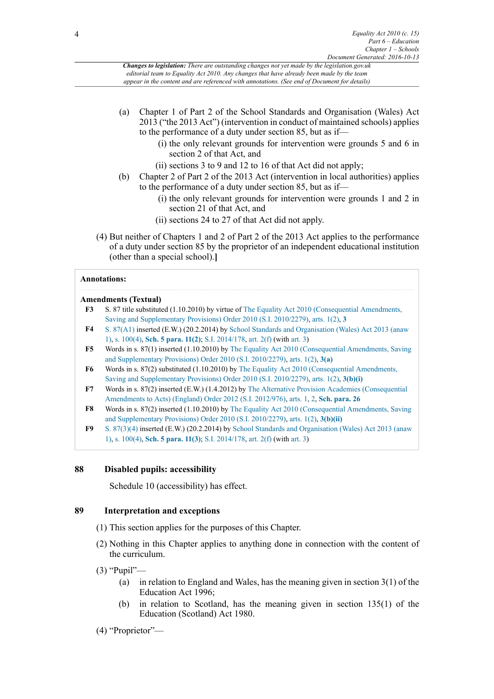- (a) Chapter 1 of Part 2 of the School Standards and Organisation (Wales) Act 2013 ("the 2013 Act") (intervention in conduct of maintained schools) applies to the performance of a duty under section 85, but as if—
	- (i) the only relevant grounds for intervention were grounds 5 and 6 in section 2 of that Act, and
	- (ii) sections 3 to 9 and 12 to 16 of that Act did not apply;
- (b) Chapter 2 of Part 2 of the 2013 Act (intervention in local authorities) applies to the performance of a duty under section 85, but as if—
	- (i) the only relevant grounds for intervention were grounds 1 and 2 in section 21 of that Act, and
	- (ii) sections 24 to 27 of that Act did not apply.
- (4) But neither of Chapters 1 and 2 of Part 2 of the 2013 Act applies to the performance of a duty under section 85 by the proprietor of an independent educational institution (other than a special school).**]**

#### **Annotations:**

#### **Amendments (Textual)**

- <span id="page-3-0"></span>**[F3](#page-2-2)** S. 87 title substituted (1.10.2010) by virtue of [The Equality Act 2010 \(Consequential Amendments,](http://www.legislation.gov.uk/id/uksi/2010/2279) [Saving and Supplementary Provisions\) Order 2010 \(S.I. 2010/2279\),](http://www.legislation.gov.uk/id/uksi/2010/2279) [arts. 1\(2\),](http://www.legislation.gov.uk/id/uksi/2010/2279/article/1/2) **[3](http://www.legislation.gov.uk/id/uksi/2010/2279/article/3)**
- <span id="page-3-1"></span>**[F4](#page-2-3)** [S. 87\(A1\)](http://www.legislation.gov.uk/id/ukpga/2010/15/section/87/A1) inserted (E.W.) (20.2.2014) by [School Standards and Organisation \(Wales\) Act 2013 \(anaw](http://www.legislation.gov.uk/id/anaw/2013/1) [1\)](http://www.legislation.gov.uk/id/anaw/2013/1), [s. 100\(4\),](http://www.legislation.gov.uk/id/anaw/2013/1/section/100/4) **[Sch. 5 para. 11\(2\)](http://www.legislation.gov.uk/id/anaw/2013/1/schedule/5/paragraph/11/2)**; [S.I. 2014/178](http://www.legislation.gov.uk/id/wsi/2014/178), [art. 2\(f\)](http://www.legislation.gov.uk/id/wsi/2014/178/article/2/f) (with [art. 3](http://www.legislation.gov.uk/id/wsi/2014/178/article/3))
- <span id="page-3-2"></span>**[F5](#page-2-4)** Words in s. 87(1) inserted (1.10.2010) by [The Equality Act 2010 \(Consequential Amendments, Saving](http://www.legislation.gov.uk/id/uksi/2010/2279) [and Supplementary Provisions\) Order 2010 \(S.I. 2010/2279\),](http://www.legislation.gov.uk/id/uksi/2010/2279) [arts. 1\(2\),](http://www.legislation.gov.uk/id/uksi/2010/2279/article/1/2) **[3\(a\)](http://www.legislation.gov.uk/id/uksi/2010/2279/article/3/a)**
- <span id="page-3-3"></span>**[F6](#page-2-5)** Words in s. 87(2) substituted (1.10.2010) by [The Equality Act 2010 \(Consequential Amendments,](http://www.legislation.gov.uk/id/uksi/2010/2279) [Saving and Supplementary Provisions\) Order 2010 \(S.I. 2010/2279\),](http://www.legislation.gov.uk/id/uksi/2010/2279) [arts. 1\(2\),](http://www.legislation.gov.uk/id/uksi/2010/2279/article/1/2) **[3\(b\)\(i\)](http://www.legislation.gov.uk/id/uksi/2010/2279/article/3/b/i)**
- <span id="page-3-4"></span>**[F7](#page-2-6)** Words in s. 87(2) inserted (E.W.) (1.4.2012) by [The Alternative Provision Academies \(Consequential](http://www.legislation.gov.uk/id/uksi/2012/976) [Amendments to Acts\) \(England\) Order 2012 \(S.I. 2012/976\)](http://www.legislation.gov.uk/id/uksi/2012/976), [arts. 1,](http://www.legislation.gov.uk/id/uksi/2012/976/article/1) [2,](http://www.legislation.gov.uk/id/uksi/2012/976/article/2) **[Sch. para. 26](http://www.legislation.gov.uk/id/uksi/2012/976/schedule/paragraph/26)**
- <span id="page-3-5"></span>**[F8](#page-2-7)** Words in s. 87(2) inserted (1.10.2010) by [The Equality Act 2010 \(Consequential Amendments, Saving](http://www.legislation.gov.uk/id/uksi/2010/2279) [and Supplementary Provisions\) Order 2010 \(S.I. 2010/2279\),](http://www.legislation.gov.uk/id/uksi/2010/2279) [arts. 1\(2\),](http://www.legislation.gov.uk/id/uksi/2010/2279/article/1/2) **[3\(b\)\(ii\)](http://www.legislation.gov.uk/id/uksi/2010/2279/article/3/b/ii)**
- <span id="page-3-6"></span>**[F9](#page-2-8)** [S. 87\(3\)](http://www.legislation.gov.uk/id/ukpga/2010/15/section/87/3)[\(4\)](http://www.legislation.gov.uk/id/ukpga/2010/15/section/87/4) inserted (E.W.) (20.2.2014) by [School Standards and Organisation \(Wales\) Act 2013 \(anaw](http://www.legislation.gov.uk/id/anaw/2013/1) [1\)](http://www.legislation.gov.uk/id/anaw/2013/1), [s. 100\(4\),](http://www.legislation.gov.uk/id/anaw/2013/1/section/100/4) **[Sch. 5 para. 11\(3\)](http://www.legislation.gov.uk/id/anaw/2013/1/schedule/5/paragraph/11/3)**; [S.I. 2014/178](http://www.legislation.gov.uk/id/wsi/2014/178), [art. 2\(f\)](http://www.legislation.gov.uk/id/wsi/2014/178/article/2/f) (with [art. 3](http://www.legislation.gov.uk/id/wsi/2014/178/article/3))

#### **88 Disabled pupils: accessibility**

Schedule 10 (accessibility) has effect.

#### **89 Interpretation and exceptions**

- (1) This section applies for the purposes of this Chapter.
- (2) Nothing in this Chapter applies to anything done in connection with the content of the curriculum.
- (3) "Pupil"—
	- (a) in relation to England and Wales, has the meaning given in section 3(1) of the Education Act 1996;
	- (b) in relation to Scotland, has the meaning given in section 135(1) of the Education (Scotland) Act 1980.

(4) "Proprietor"—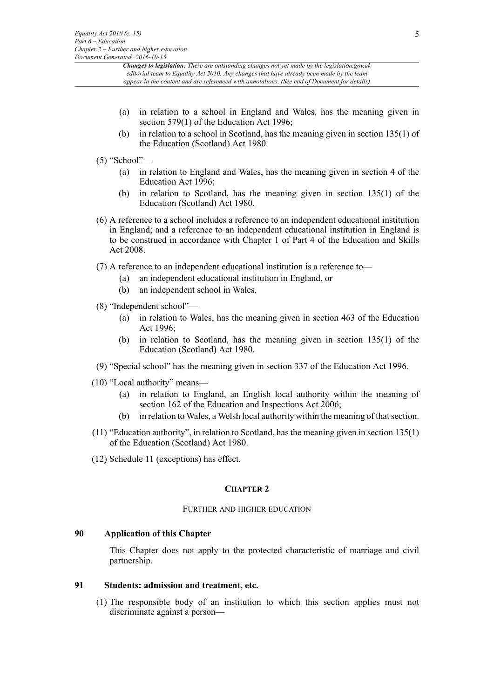- (a) in relation to a school in England and Wales, has the meaning given in section 579(1) of the Education Act 1996;
- (b) in relation to a school in Scotland, has the meaning given in section 135(1) of the Education (Scotland) Act 1980.
- (5) "School"—
	- (a) in relation to England and Wales, has the meaning given in section 4 of the Education Act 1996;
	- (b) in relation to Scotland, has the meaning given in section 135(1) of the Education (Scotland) Act 1980.
- (6) A reference to a school includes a reference to an independent educational institution in England; and a reference to an independent educational institution in England is to be construed in accordance with Chapter 1 of Part 4 of the Education and Skills Act 2008.

(7) A reference to an independent educational institution is a reference to—

- (a) an independent educational institution in England, or
- (b) an independent school in Wales.
- (8) "Independent school"—
	- (a) in relation to Wales, has the meaning given in section 463 of the Education Act 1996;
	- (b) in relation to Scotland, has the meaning given in section 135(1) of the Education (Scotland) Act 1980.
- (9) "Special school" has the meaning given in section 337 of the Education Act 1996.
- (10) "Local authority" means—
	- (a) in relation to England, an English local authority within the meaning of section 162 of the Education and Inspections Act 2006;
	- (b) in relation to Wales, a Welsh local authority within the meaning of that section.
- (11) "Education authority", in relation to Scotland, has the meaning given in section 135(1) of the Education (Scotland) Act 1980.
- (12) Schedule 11 (exceptions) has effect.

#### **CHAPTER 2**

#### FURTHER AND HIGHER EDUCATION

#### **90 Application of this Chapter**

This Chapter does not apply to the protected characteristic of marriage and civil partnership.

#### **91 Students: admission and treatment, etc.**

(1) The responsible body of an institution to which this section applies must not discriminate against a person—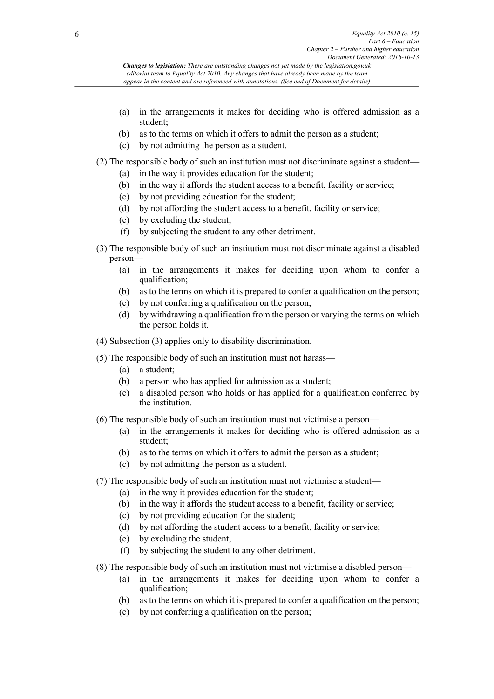- (a) in the arrangements it makes for deciding who is offered admission as a student;
- (b) as to the terms on which it offers to admit the person as a student;
- (c) by not admitting the person as a student.

(2) The responsible body of such an institution must not discriminate against a student—

- (a) in the way it provides education for the student;
- (b) in the way it affords the student access to a benefit, facility or service;
- (c) by not providing education for the student;
- (d) by not affording the student access to a benefit, facility or service;
- (e) by excluding the student;
- (f) by subjecting the student to any other detriment.
- (3) The responsible body of such an institution must not discriminate against a disabled person—
	- (a) in the arrangements it makes for deciding upon whom to confer a qualification;
	- (b) as to the terms on which it is prepared to confer a qualification on the person;
	- (c) by not conferring a qualification on the person;
	- (d) by withdrawing a qualification from the person or varying the terms on which the person holds it.
- (4) Subsection (3) applies only to disability discrimination.
- (5) The responsible body of such an institution must not harass—
	- (a) a student;
	- (b) a person who has applied for admission as a student;
	- (c) a disabled person who holds or has applied for a qualification conferred by the institution.
- (6) The responsible body of such an institution must not victimise a person—
	- (a) in the arrangements it makes for deciding who is offered admission as a student;
	- (b) as to the terms on which it offers to admit the person as a student;
	- (c) by not admitting the person as a student.
- (7) The responsible body of such an institution must not victimise a student—
	- (a) in the way it provides education for the student;
	- (b) in the way it affords the student access to a benefit, facility or service;
	- (c) by not providing education for the student;
	- (d) by not affording the student access to a benefit, facility or service;
	- (e) by excluding the student;
	- (f) by subjecting the student to any other detriment.
- (8) The responsible body of such an institution must not victimise a disabled person—
	- (a) in the arrangements it makes for deciding upon whom to confer a qualification;
	- (b) as to the terms on which it is prepared to confer a qualification on the person;
	- (c) by not conferring a qualification on the person;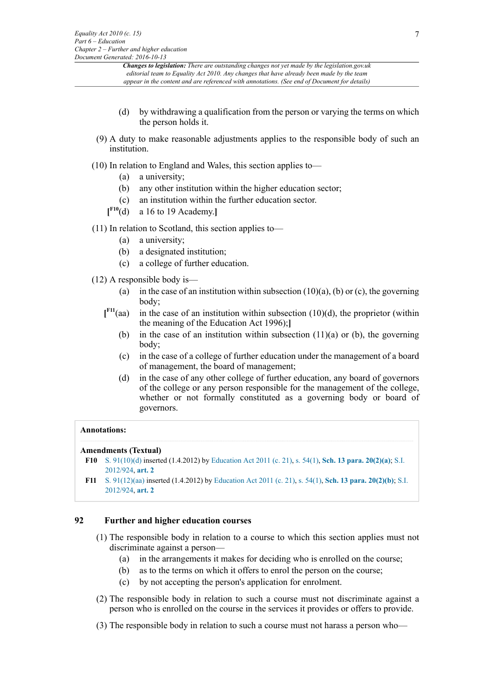- (d) by withdrawing a qualification from the person or varying the terms on which the person holds it.
- (9) A duty to make reasonable adjustments applies to the responsible body of such an institution.
- (10) In relation to England and Wales, this section applies to—
	- (a) a university;
	- (b) any other institution within the higher education sector;
	- (c) an institution within the further education sector.
	- **[ [F10](#page-6-0)**(d) a 16 to 19 Academy.**]**
- <span id="page-6-2"></span>(11) In relation to Scotland, this section applies to—
	- (a) a university;
	- (b) a designated institution;
	- (c) a college of further education.
- <span id="page-6-3"></span>(12) A responsible body is—
	- (a) in the case of an institution within subsection  $(10)(a)$ , (b) or (c), the governing body;
	- $\mathbf{I}^{\mathrm{F11}}$ (aa) in the case of an institution within subsection  $(10)(d)$ , the proprietor (within the meaning of the Education Act 1996);**]**
		- (b) in the case of an institution within subsection  $(11)(a)$  or (b), the governing body;
		- (c) in the case of a college of further education under the management of a board of management, the board of management;
		- (d) in the case of any other college of further education, any board of governors of the college or any person responsible for the management of the college, whether or not formally constituted as a governing body or board of governors.

#### **Annotations:**

#### **Amendments (Textual)**

- <span id="page-6-0"></span>**[F10](#page-6-2)** [S. 91\(10\)\(d\)](http://www.legislation.gov.uk/id/ukpga/2010/15/section/91/10/d) inserted (1.4.2012) by [Education Act 2011 \(c. 21\)](http://www.legislation.gov.uk/id/ukpga/2011/21), [s. 54\(1\)](http://www.legislation.gov.uk/id/ukpga/2011/21/section/54/1), **[Sch. 13 para. 20\(2\)\(a\)](http://www.legislation.gov.uk/id/ukpga/2011/21/schedule/13/paragraph/20/2/a)**; [S.I.](http://www.legislation.gov.uk/id/uksi/2012/924) [2012/924,](http://www.legislation.gov.uk/id/uksi/2012/924) **[art. 2](http://www.legislation.gov.uk/id/uksi/2012/924/article/2)**
- <span id="page-6-1"></span>**[F11](#page-6-3)** [S. 91\(12\)\(aa\)](http://www.legislation.gov.uk/id/ukpga/2010/15/section/91/12/aa) inserted (1.4.2012) by [Education Act 2011 \(c. 21\)](http://www.legislation.gov.uk/id/ukpga/2011/21), [s. 54\(1\)](http://www.legislation.gov.uk/id/ukpga/2011/21/section/54/1), **[Sch. 13 para. 20\(2\)\(b\)](http://www.legislation.gov.uk/id/ukpga/2011/21/schedule/13/paragraph/20/2/b)**; [S.I.](http://www.legislation.gov.uk/id/uksi/2012/924) [2012/924,](http://www.legislation.gov.uk/id/uksi/2012/924) **[art. 2](http://www.legislation.gov.uk/id/uksi/2012/924/article/2)**

#### **92 Further and higher education courses**

- (1) The responsible body in relation to a course to which this section applies must not discriminate against a person—
	- (a) in the arrangements it makes for deciding who is enrolled on the course;
	- (b) as to the terms on which it offers to enrol the person on the course;
	- (c) by not accepting the person's application for enrolment.
- (2) The responsible body in relation to such a course must not discriminate against a person who is enrolled on the course in the services it provides or offers to provide.
- (3) The responsible body in relation to such a course must not harass a person who—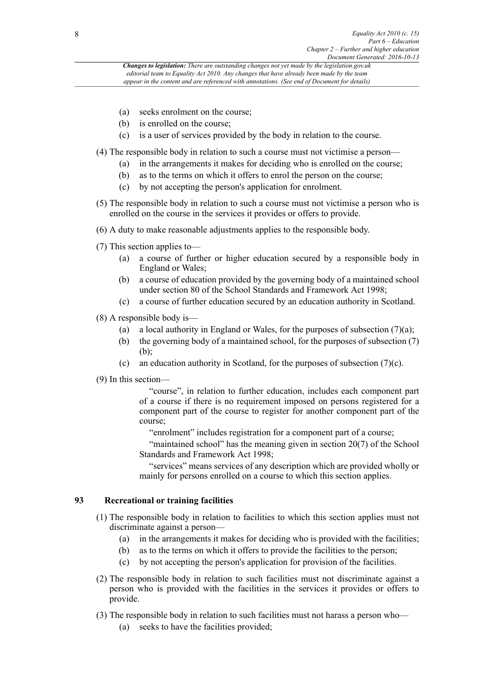- (a) seeks enrolment on the course;
- (b) is enrolled on the course;
- (c) is a user of services provided by the body in relation to the course.

(4) The responsible body in relation to such a course must not victimise a person—

- (a) in the arrangements it makes for deciding who is enrolled on the course;
- (b) as to the terms on which it offers to enrol the person on the course;
- (c) by not accepting the person's application for enrolment.
- (5) The responsible body in relation to such a course must not victimise a person who is enrolled on the course in the services it provides or offers to provide.
- (6) A duty to make reasonable adjustments applies to the responsible body.
- (7) This section applies to—
	- (a) a course of further or higher education secured by a responsible body in England or Wales;
	- (b) a course of education provided by the governing body of a maintained school under section 80 of the School Standards and Framework Act 1998;
	- (c) a course of further education secured by an education authority in Scotland.
- (8) A responsible body is—
	- (a) a local authority in England or Wales, for the purposes of subsection  $(7)(a)$ ;
	- (b) the governing body of a maintained school, for the purposes of subsection (7)  $(b)$
	- (c) an education authority in Scotland, for the purposes of subsection (7)(c).
- (9) In this section—

"course", in relation to further education, includes each component part of a course if there is no requirement imposed on persons registered for a component part of the course to register for another component part of the course;

"enrolment" includes registration for a component part of a course;

"maintained school" has the meaning given in section 20(7) of the School Standards and Framework Act 1998;

"services" means services of any description which are provided wholly or mainly for persons enrolled on a course to which this section applies.

#### **93 Recreational or training facilities**

- (1) The responsible body in relation to facilities to which this section applies must not discriminate against a person—
	- (a) in the arrangements it makes for deciding who is provided with the facilities;
	- (b) as to the terms on which it offers to provide the facilities to the person;
	- (c) by not accepting the person's application for provision of the facilities.
- (2) The responsible body in relation to such facilities must not discriminate against a person who is provided with the facilities in the services it provides or offers to provide.
- (3) The responsible body in relation to such facilities must not harass a person who—
	- (a) seeks to have the facilities provided;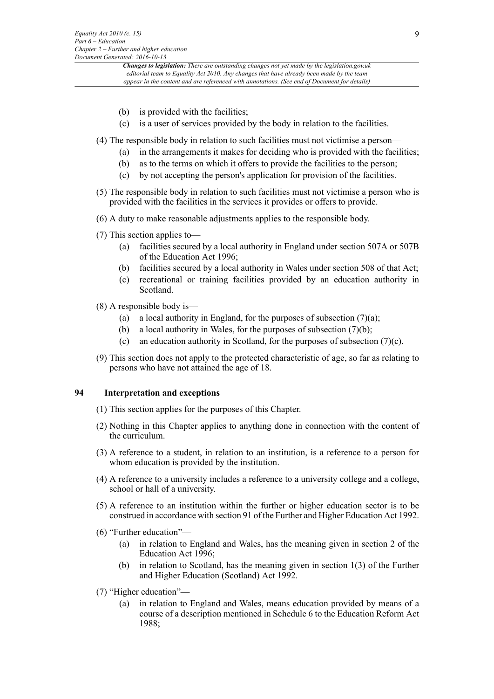- (b) is provided with the facilities;
- (c) is a user of services provided by the body in relation to the facilities.
- (4) The responsible body in relation to such facilities must not victimise a person—
	- (a) in the arrangements it makes for deciding who is provided with the facilities;
	- (b) as to the terms on which it offers to provide the facilities to the person;
	- (c) by not accepting the person's application for provision of the facilities.
- (5) The responsible body in relation to such facilities must not victimise a person who is provided with the facilities in the services it provides or offers to provide.
- (6) A duty to make reasonable adjustments applies to the responsible body.
- (7) This section applies to—
	- (a) facilities secured by a local authority in England under section 507A or 507B of the Education Act 1996;
	- (b) facilities secured by a local authority in Wales under section 508 of that Act;
	- (c) recreational or training facilities provided by an education authority in Scotland.
- (8) A responsible body is—
	- (a) a local authority in England, for the purposes of subsection  $(7)(a)$ ;
	- (b) a local authority in Wales, for the purposes of subsection (7)(b);
	- (c) an education authority in Scotland, for the purposes of subsection (7)(c).
- (9) This section does not apply to the protected characteristic of age, so far as relating to persons who have not attained the age of 18.

#### **94 Interpretation and exceptions**

- (1) This section applies for the purposes of this Chapter.
- (2) Nothing in this Chapter applies to anything done in connection with the content of the curriculum.
- (3) A reference to a student, in relation to an institution, is a reference to a person for whom education is provided by the institution.
- (4) A reference to a university includes a reference to a university college and a college, school or hall of a university.
- (5) A reference to an institution within the further or higher education sector is to be construed in accordance with section 91 of the Further and Higher Education Act 1992.
- (6) "Further education"—
	- (a) in relation to England and Wales, has the meaning given in section 2 of the Education Act 1996;
	- (b) in relation to Scotland, has the meaning given in section 1(3) of the Further and Higher Education (Scotland) Act 1992.
- (7) "Higher education"—
	- (a) in relation to England and Wales, means education provided by means of a course of a description mentioned in Schedule 6 to the Education Reform Act 1988;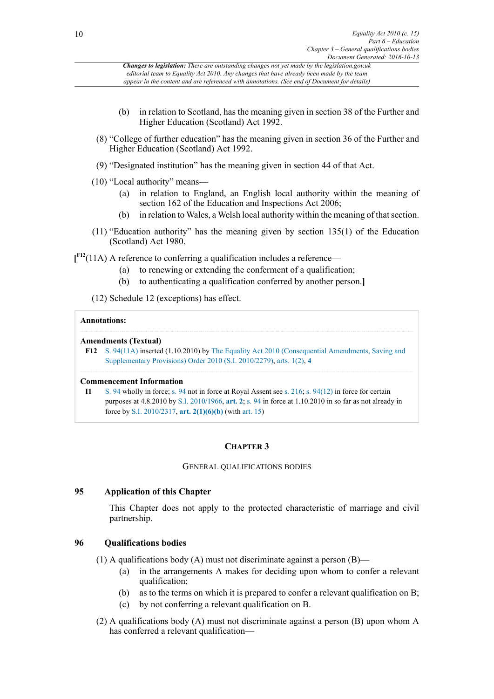- (b) in relation to Scotland, has the meaning given in section 38 of the Further and Higher Education (Scotland) Act 1992.
- (8) "College of further education" has the meaning given in section 36 of the Further and Higher Education (Scotland) Act 1992.
- (9) "Designated institution" has the meaning given in section 44 of that Act.
- (10) "Local authority" means—
	- (a) in relation to England, an English local authority within the meaning of section 162 of the Education and Inspections Act 2006;
	- (b) in relation to Wales, a Welsh local authority within the meaning of that section.
- (11) "Education authority" has the meaning given by section 135(1) of the Education (Scotland) Act 1980.

<span id="page-9-1"></span>**[ [F12](#page-9-0)**(11A) A reference to conferring a qualification includes a reference—

- (a) to renewing or extending the conferment of a qualification;
- (b) to authenticating a qualification conferred by another person.**]**

(12) Schedule 12 (exceptions) has effect.

#### **Annotations:**

#### **Amendments (Textual)**

<span id="page-9-0"></span>**[F12](#page-9-1)** [S. 94\(11A\)](http://www.legislation.gov.uk/id/ukpga/2010/15/section/94/11A) inserted (1.10.2010) by [The Equality Act 2010 \(Consequential Amendments, Saving and](http://www.legislation.gov.uk/id/uksi/2010/2279) [Supplementary Provisions\) Order 2010 \(S.I. 2010/2279\)](http://www.legislation.gov.uk/id/uksi/2010/2279), [arts. 1\(2\)](http://www.legislation.gov.uk/id/uksi/2010/2279/article/1/2), **[4](http://www.legislation.gov.uk/id/uksi/2010/2279/article/4)**

#### **Commencement Information**

**I1** [S. 94](http://www.legislation.gov.uk/id/ukpga/2010/15/section/94) wholly in force; [s. 94](http://www.legislation.gov.uk/id/ukpga/2010/15/section/94) not in force at Royal Assent see [s. 216;](http://www.legislation.gov.uk/id/ukpga/2010/15/section/216) [s. 94\(12\)](http://www.legislation.gov.uk/id/ukpga/2010/15/section/94/12) in force for certain purposes at 4.8.2010 by [S.I. 2010/1966,](http://www.legislation.gov.uk/id/uksi/2010/1966) **[art. 2](http://www.legislation.gov.uk/id/uksi/2010/1966/article/2)**; [s. 94](http://www.legislation.gov.uk/id/ukpga/2010/15/section/94) in force at 1.10.2010 in so far as not already in force by [S.I. 2010/2317,](http://www.legislation.gov.uk/id/uksi/2010/2317) **[art. 2\(1\)\(6\)\(b\)](http://www.legislation.gov.uk/id/uksi/2010/2317/article/2/1/6/b)** (with [art. 15](http://www.legislation.gov.uk/id/uksi/2010/2317/article/15))

### **CHAPTER 3**

#### GENERAL QUALIFICATIONS BODIES

### **95 Application of this Chapter**

This Chapter does not apply to the protected characteristic of marriage and civil partnership.

### **96 Qualifications bodies**

(1) A qualifications body (A) must not discriminate against a person  $(B)$ —

- (a) in the arrangements A makes for deciding upon whom to confer a relevant qualification;
- (b) as to the terms on which it is prepared to confer a relevant qualification on B;
- (c) by not conferring a relevant qualification on B.
- (2) A qualifications body (A) must not discriminate against a person (B) upon whom A has conferred a relevant qualification—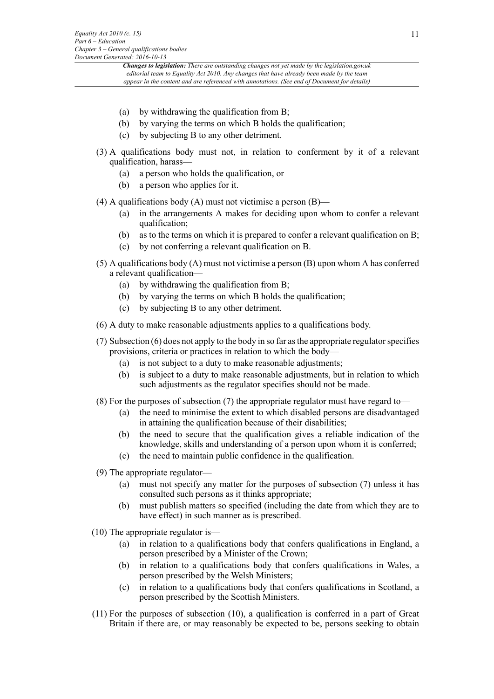- (a) by withdrawing the qualification from B;
- (b) by varying the terms on which B holds the qualification;
- (c) by subjecting B to any other detriment.
- (3) A qualifications body must not, in relation to conferment by it of a relevant qualification, harass—
	- (a) a person who holds the qualification, or
	- (b) a person who applies for it.
- (4) A qualifications body (A) must not victimise a person  $(B)$ 
	- (a) in the arrangements A makes for deciding upon whom to confer a relevant qualification;
	- (b) as to the terms on which it is prepared to confer a relevant qualification on B;
	- (c) by not conferring a relevant qualification on B.
- (5) A qualifications body (A) must not victimise a person (B) upon whom A has conferred a relevant qualification—
	- (a) by withdrawing the qualification from B;
	- (b) by varying the terms on which B holds the qualification;
	- (c) by subjecting B to any other detriment.
- (6) A duty to make reasonable adjustments applies to a qualifications body.
- (7) Subsection (6) does not apply to the body in so far as the appropriate regulator specifies provisions, criteria or practices in relation to which the body—
	- (a) is not subject to a duty to make reasonable adjustments;
	- (b) is subject to a duty to make reasonable adjustments, but in relation to which such adjustments as the regulator specifies should not be made.
- (8) For the purposes of subsection (7) the appropriate regulator must have regard to—
	- (a) the need to minimise the extent to which disabled persons are disadvantaged in attaining the qualification because of their disabilities;
	- (b) the need to secure that the qualification gives a reliable indication of the knowledge, skills and understanding of a person upon whom it is conferred;
	- (c) the need to maintain public confidence in the qualification.
- (9) The appropriate regulator—
	- (a) must not specify any matter for the purposes of subsection (7) unless it has consulted such persons as it thinks appropriate;
	- (b) must publish matters so specified (including the date from which they are to have effect) in such manner as is prescribed.
- (10) The appropriate regulator is—
	- (a) in relation to a qualifications body that confers qualifications in England, a person prescribed by a Minister of the Crown;
	- (b) in relation to a qualifications body that confers qualifications in Wales, a person prescribed by the Welsh Ministers;
	- (c) in relation to a qualifications body that confers qualifications in Scotland, a person prescribed by the Scottish Ministers.
- (11) For the purposes of subsection (10), a qualification is conferred in a part of Great Britain if there are, or may reasonably be expected to be, persons seeking to obtain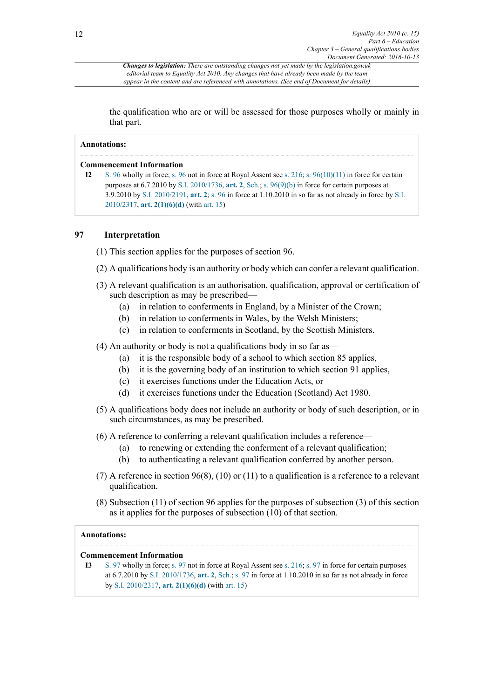*Changes to legislation: There are outstanding changes not yet made by the legislation.gov.uk editorial team to Equality Act 2010. Any changes that have already been made by the team appear in the content and are referenced with annotations. (See end of Document for details)*

the qualification who are or will be assessed for those purposes wholly or mainly in that part.

#### **Annotations:**

#### **Commencement Information**

**I2** [S. 96](http://www.legislation.gov.uk/id/ukpga/2010/15/section/96) wholly in force; [s. 96](http://www.legislation.gov.uk/id/ukpga/2010/15/section/96) not in force at Royal Assent see [s. 216;](http://www.legislation.gov.uk/id/ukpga/2010/15/section/216) [s. 96\(10\)\(11\)](http://www.legislation.gov.uk/id/ukpga/2010/15/section/96/10/11) in force for certain purposes at 6.7.2010 by [S.I. 2010/1736,](http://www.legislation.gov.uk/id/uksi/2010/1736) **[art. 2](http://www.legislation.gov.uk/id/uksi/2010/1736/article/2)**, [Sch.](http://www.legislation.gov.uk/id/uksi/2010/1736/schedule); [s. 96\(9\)\(b\)](http://www.legislation.gov.uk/id/ukpga/2010/15/section/96/9/b) in force for certain purposes at 3.9.2010 by [S.I. 2010/2191,](http://www.legislation.gov.uk/id/uksi/2010/2191) **[art. 2](http://www.legislation.gov.uk/id/uksi/2010/2191/article/2)**; [s. 96](http://www.legislation.gov.uk/id/ukpga/2010/15/section/96) in force at 1.10.2010 in so far as not already in force by [S.I.](http://www.legislation.gov.uk/id/uksi/2010/2317) [2010/2317](http://www.legislation.gov.uk/id/uksi/2010/2317), **[art. 2\(1\)\(6\)\(d\)](http://www.legislation.gov.uk/id/uksi/2010/2317/article/2/1/6/d)** (with [art. 15\)](http://www.legislation.gov.uk/id/uksi/2010/2317/article/15)

#### **97 Interpretation**

(1) This section applies for the purposes of section 96.

- (2) A qualifications body is an authority or body which can confer a relevant qualification.
- (3) A relevant qualification is an authorisation, qualification, approval or certification of such description as may be prescribed—
	- (a) in relation to conferments in England, by a Minister of the Crown;
	- (b) in relation to conferments in Wales, by the Welsh Ministers;
	- (c) in relation to conferments in Scotland, by the Scottish Ministers.

(4) An authority or body is not a qualifications body in so far as—

- (a) it is the responsible body of a school to which section 85 applies,
- (b) it is the governing body of an institution to which section 91 applies,
- (c) it exercises functions under the Education Acts, or
- (d) it exercises functions under the Education (Scotland) Act 1980.
- (5) A qualifications body does not include an authority or body of such description, or in such circumstances, as may be prescribed.
- (6) A reference to conferring a relevant qualification includes a reference—
	- (a) to renewing or extending the conferment of a relevant qualification;
	- (b) to authenticating a relevant qualification conferred by another person.
- (7) A reference in section 96(8), (10) or (11) to a qualification is a reference to a relevant qualification.
- (8) Subsection (11) of section 96 applies for the purposes of subsection (3) of this section as it applies for the purposes of subsection (10) of that section.

#### **Annotations:**

#### **Commencement Information**

**I3** [S. 97](http://www.legislation.gov.uk/id/ukpga/2010/15/section/97) wholly in force; [s. 97](http://www.legislation.gov.uk/id/ukpga/2010/15/section/97) not in force at Royal Assent see [s. 216;](http://www.legislation.gov.uk/id/ukpga/2010/15/section/216) [s. 97](http://www.legislation.gov.uk/id/ukpga/2010/15/section/97) in force for certain purposes at 6.7.2010 by [S.I. 2010/1736,](http://www.legislation.gov.uk/id/uksi/2010/1736) **[art. 2](http://www.legislation.gov.uk/id/uksi/2010/1736/article/2)**, [Sch.;](http://www.legislation.gov.uk/id/uksi/2010/1736/schedule) [s. 97](http://www.legislation.gov.uk/id/ukpga/2010/15/section/97) in force at 1.10.2010 in so far as not already in force by [S.I. 2010/2317](http://www.legislation.gov.uk/id/uksi/2010/2317), **[art. 2\(1\)\(6\)\(d\)](http://www.legislation.gov.uk/id/uksi/2010/2317/article/2/1/6/d)** (with [art. 15\)](http://www.legislation.gov.uk/id/uksi/2010/2317/article/15)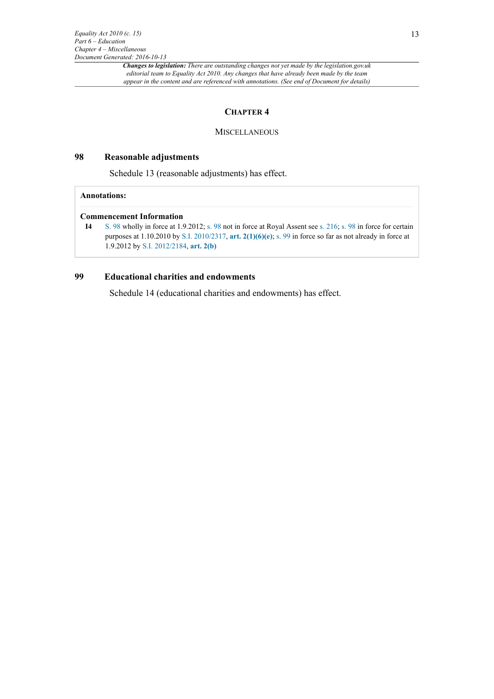#### **CHAPTER 4**

#### **MISCELLANEOUS**

#### **98 Reasonable adjustments**

Schedule 13 (reasonable adjustments) has effect.

#### **Annotations:**

#### **Commencement Information**

```
I4 S. 98 wholly in force at 1.9.2012; s. 98 not in force at Royal Assent see s. 216; s. 98 in force for certain
purposes at 1.10.2010 by S.I. 2010/2317, art. 2(1)(6)(e); s. 99 in force so far as not already in force at
1.9.2012 by S.I. 2012/2184, art. 2(b)
```
#### **99 Educational charities and endowments**

Schedule 14 (educational charities and endowments) has effect.